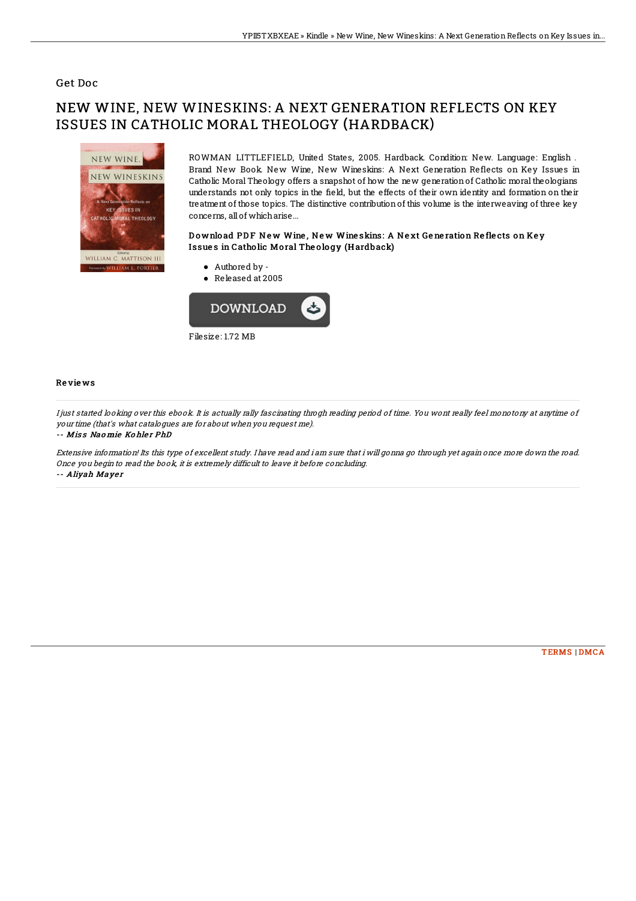#### Get Doc

# NEW WINE, NEW WINESKINS: A NEXT GENERATION REFLECTS ON KEY ISSUES IN CATHOLIC MORAL THEOLOGY (HARDBACK)



ROWMAN LITTLEFIELD, United States, 2005. Hardback. Condition: New. Language: English . Brand New Book. New Wine, New Wineskins: A Next Generation Reflects on Key Issues in Catholic Moral Theology offers a snapshot of how the new generation of Catholic moral theologians understands not only topics in the 6eld, but the effects of their own identity and formation on their treatment of those topics. The distinctive contributionof this volume is the interweaving of three key concerns, all of whicharise...

### Download PDF New Wine, New Wine skins: A Next Generation Reflects on Key Issues in Catholic Moral Theology (Hardback)

Authored by - Released at 2005



#### Re vie ws

I just started looking over this ebook. It is actually rally fascinating throgh reading period of time. You wont really feel monotony at anytime of your time (that's what catalogues are for about when you request me).

#### -- Miss Naomie Kohler PhD

Extensive information! Its this type of excellent study. I have read and i am sure that i will gonna go through yet again once more down the road. Once you begin to read the book, it is extremely difficult to leave it before concluding. -- Aliyah Mayer